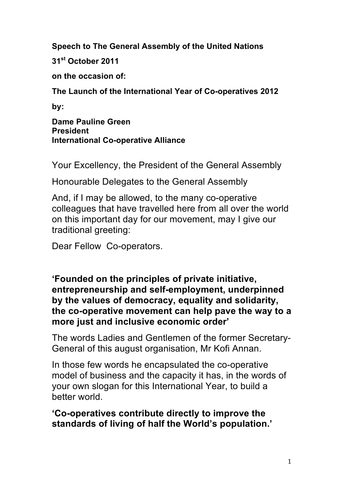**Speech to The General Assembly of the United Nations**

**31st October 2011**

**on the occasion of:**

**The Launch of the International Year of Co-operatives 2012**

**by:**

**Dame Pauline Green President International Co-operative Alliance**

Your Excellency, the President of the General Assembly

Honourable Delegates to the General Assembly

And, if I may be allowed, to the many co-operative colleagues that have travelled here from all over the world on this important day for our movement, may I give our traditional greeting:

Dear Fellow Co-operators.

**'Founded on the principles of private initiative, entrepreneurship and self-employment, underpinned by the values of democracy, equality and solidarity, the co-operative movement can help pave the way to a more just and inclusive economic order'**

The words Ladies and Gentlemen of the former Secretary-General of this august organisation, Mr Kofi Annan.

In those few words he encapsulated the co-operative model of business and the capacity it has, in the words of your own slogan for this International Year, to build a better world.

**'Co-operatives contribute directly to improve the standards of living of half the World's population.'**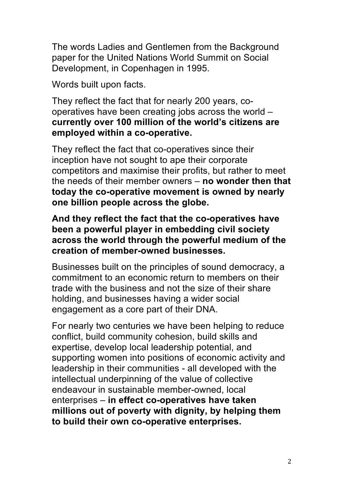The words Ladies and Gentlemen from the Background paper for the United Nations World Summit on Social Development, in Copenhagen in 1995.

Words built upon facts.

They reflect the fact that for nearly 200 years, cooperatives have been creating jobs across the world – **currently over 100 million of the world's citizens are employed within a co-operative.**

They reflect the fact that co-operatives since their inception have not sought to ape their corporate competitors and maximise their profits, but rather to meet the needs of their member owners – **no wonder then that today the co-operative movement is owned by nearly one billion people across the globe.**

**And they reflect the fact that the co-operatives have been a powerful player in embedding civil society across the world through the powerful medium of the creation of member-owned businesses.**

Businesses built on the principles of sound democracy, a commitment to an economic return to members on their trade with the business and not the size of their share holding, and businesses having a wider social engagement as a core part of their DNA.

For nearly two centuries we have been helping to reduce conflict, build community cohesion, build skills and expertise, develop local leadership potential, and supporting women into positions of economic activity and leadership in their communities - all developed with the intellectual underpinning of the value of collective endeavour in sustainable member-owned, local enterprises – **in effect co-operatives have taken millions out of poverty with dignity, by helping them to build their own co-operative enterprises.**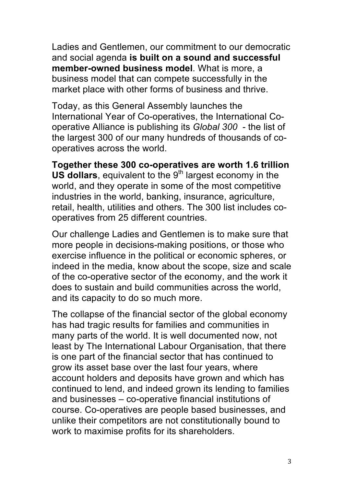Ladies and Gentlemen, our commitment to our democratic and social agenda **is built on a sound and successful member-owned business model**. What is more, a business model that can compete successfully in the market place with other forms of business and thrive.

Today, as this General Assembly launches the International Year of Co-operatives, the International Cooperative Alliance is publishing its *Global 300* - the list of the largest 300 of our many hundreds of thousands of cooperatives across the world.

**Together these 300 co-operatives are worth 1.6 trillion US dollars**, equivalent to the 9<sup>th</sup> largest economy in the world, and they operate in some of the most competitive industries in the world, banking, insurance, agriculture, retail, health, utilities and others. The 300 list includes cooperatives from 25 different countries.

Our challenge Ladies and Gentlemen is to make sure that more people in decisions-making positions, or those who exercise influence in the political or economic spheres, or indeed in the media, know about the scope, size and scale of the co-operative sector of the economy, and the work it does to sustain and build communities across the world, and its capacity to do so much more.

The collapse of the financial sector of the global economy has had tragic results for families and communities in many parts of the world. It is well documented now, not least by The International Labour Organisation, that there is one part of the financial sector that has continued to grow its asset base over the last four years, where account holders and deposits have grown and which has continued to lend, and indeed grown its lending to families and businesses – co-operative financial institutions of course. Co-operatives are people based businesses, and unlike their competitors are not constitutionally bound to work to maximise profits for its shareholders.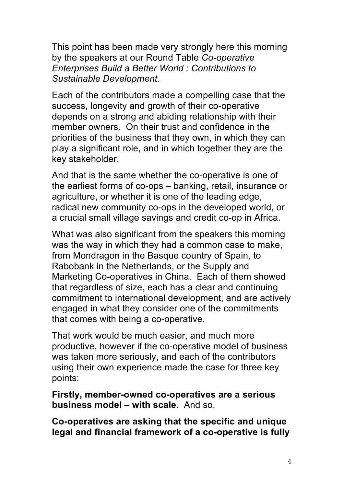This point has been made very strongly here this morning by the speakers at our Round Table *Co-operative Enterprises Build a Better World : Contributions to Sustainable Development.*

Each of the contributors made a compelling case that the success, longevity and growth of their co-operative depends on a strong and abiding relationship with their member owners. On their trust and confidence in the priorities of the business that they own, in which they can play a significant role, and in which together they are the key stakeholder.

And that is the same whether the co-operative is one of the earliest forms of co-ops – banking, retail, insurance or agriculture, or whether it is one of the leading edge, radical new community co-ops in the developed world, or a crucial small village savings and credit co-op in Africa.

What was also significant from the speakers this morning was the way in which they had a common case to make, from Mondragon in the Basque country of Spain, to Rabobank in the Netherlands, or the Supply and Marketing Co-operatives in China. Each of them showed that regardless of size, each has a clear and continuing commitment to international development, and are actively engaged in what they consider one of the commitments that comes with being a co-operative.

That work would be much easier, and much more productive, however if the co-operative model of business was taken more seriously, and each of the contributors using their own experience made the case for three key points:

**Firstly, member-owned co-operatives are a serious business model – with scale.** And so,

**Co-operatives are asking that the specific and unique legal and financial framework of a co-operative is fully**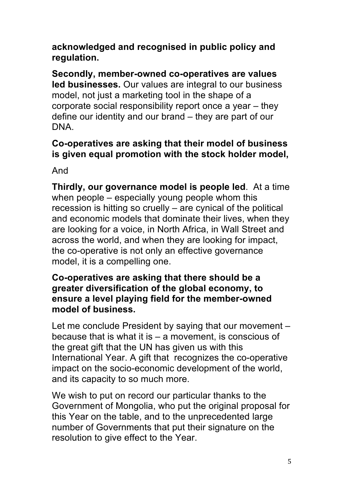**acknowledged and recognised in public policy and regulation.** 

**Secondly, member-owned co-operatives are values led businesses.** Our values are integral to our business model, not just a marketing tool in the shape of a corporate social responsibility report once a year – they define our identity and our brand – they are part of our DNA.

## **Co-operatives are asking that their model of business is given equal promotion with the stock holder model,**

And

**Thirdly, our governance model is people led**. At a time when people – especially young people whom this recession is hitting so cruelly – are cynical of the political and economic models that dominate their lives, when they are looking for a voice, in North Africa, in Wall Street and across the world, and when they are looking for impact, the co-operative is not only an effective governance model, it is a compelling one.

## **Co-operatives are asking that there should be a greater diversification of the global economy, to ensure a level playing field for the member-owned model of business.**

Let me conclude President by saying that our movement – because that is what it is – a movement, is conscious of the great gift that the UN has given us with this International Year. A gift that recognizes the co-operative impact on the socio-economic development of the world, and its capacity to so much more.

We wish to put on record our particular thanks to the Government of Mongolia, who put the original proposal for this Year on the table, and to the unprecedented large number of Governments that put their signature on the resolution to give effect to the Year.